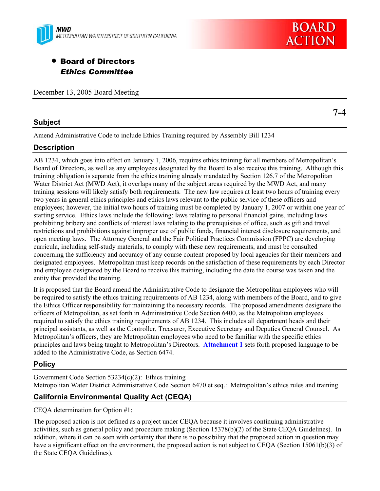



# • Board of Directors *Ethics Committee*

December 13, 2005 Board Meeting

# **Subject**

**7-4** 

Amend Administrative Code to include Ethics Training required by Assembly Bill 1234

# **Description**

AB 1234, which goes into effect on January 1, 2006, requires ethics training for all members of Metropolitan's Board of Directors, as well as any employees designated by the Board to also receive this training. Although this training obligation is separate from the ethics training already mandated by Section 126.7 of the Metropolitan Water District Act (MWD Act), it overlaps many of the subject areas required by the MWD Act, and many training sessions will likely satisfy both requirements. The new law requires at least two hours of training every two years in general ethics principles and ethics laws relevant to the public service of these officers and employees; however, the initial two hours of training must be completed by January 1, 2007 or within one year of starting service. Ethics laws include the following: laws relating to personal financial gains, including laws prohibiting bribery and conflicts of interest laws relating to the prerequisites of office, such as gift and travel restrictions and prohibitions against improper use of public funds, financial interest disclosure requirements, and open meeting laws. The Attorney General and the Fair Political Practices Commission (FPPC) are developing curricula, including self-study materials, to comply with these new requirements, and must be consulted concerning the sufficiency and accuracy of any course content proposed by local agencies for their members and designated employees. Metropolitan must keep records on the satisfaction of these requirements by each Director and employee designated by the Board to receive this training, including the date the course was taken and the entity that provided the training.

It is proposed that the Board amend the Administrative Code to designate the Metropolitan employees who will be required to satisfy the ethics training requirements of AB 1234, along with members of the Board, and to give the Ethics Officer responsibility for maintaining the necessary records. The proposed amendments designate the officers of Metropolitan, as set forth in Administrative Code Section 6400, as the Metropolitan employees required to satisfy the ethics training requirements of AB 1234. This includes all department heads and their principal assistants, as well as the Controller, Treasurer, Executive Secretary and Deputies General Counsel. As Metropolitan's officers, they are Metropolitan employees who need to be familiar with the specific ethics principles and laws being taught to Metropolitan's Directors. **Attachment 1** sets forth proposed language to be added to the Administrative Code, as Section 6474.

# **Policy**

Government Code Section 53234(c)(2): Ethics training Metropolitan Water District Administrative Code Section 6470 et seq.: Metropolitan's ethics rules and training

# **California Environmental Quality Act (CEQA)**

CEQA determination for Option #1:

The proposed action is not defined as a project under CEQA because it involves continuing administrative activities, such as general policy and procedure making (Section 15378(b)(2) of the State CEQA Guidelines). In addition, where it can be seen with certainty that there is no possibility that the proposed action in question may have a significant effect on the environment, the proposed action is not subject to CEQA (Section 15061(b)(3) of the State CEQA Guidelines).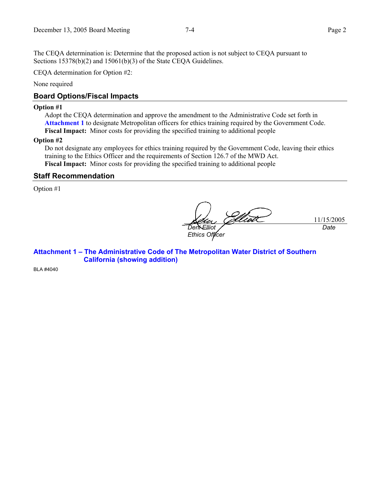The CEQA determination is: Determine that the proposed action is not subject to CEQA pursuant to Sections 15378(b)(2) and 15061(b)(3) of the State CEQA Guidelines.

CEQA determination for Option #2:

None required

## **Board Options/Fiscal Impacts**

#### **Option #1**

Adopt the CEQA determination and approve the amendment to the Administrative Code set forth in **Attachment 1** to designate Metropolitan officers for ethics training required by the Government Code. **Fiscal Impact:** Minor costs for providing the specified training to additional people

#### **Option #2**

Do not designate any employees for ethics training required by the Government Code, leaving their ethics training to the Ethics Officer and the requirements of Section 126.7 of the MWD Act. **Fiscal Impact:** Minor costs for providing the specified training to additional people

#### **Staff Recommendation**

Option #1

iot 11/15/2005 *Deni Elliot Date Ethics Officer* 

**Attachment 1 – The Administrative Code of The Metropolitan Water District of Southern California (showing addition)** 

BLA #4040